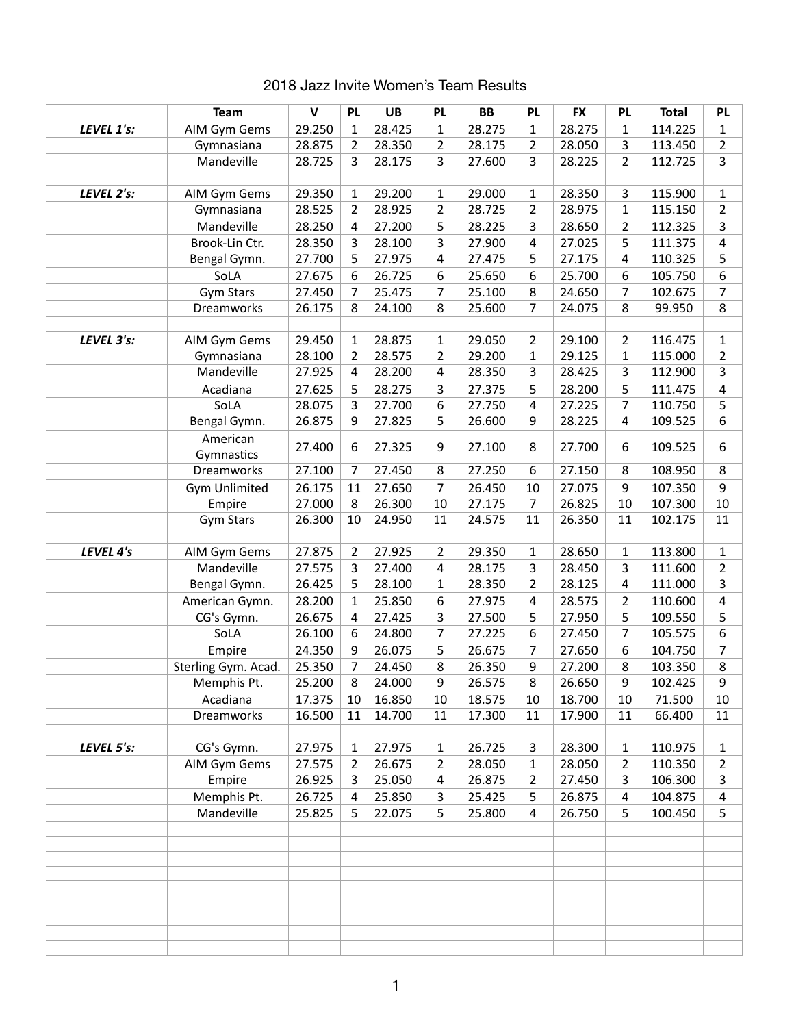|            | <b>Team</b>            | $\mathbf v$ | <b>PL</b>      | <b>UB</b> | <b>PL</b>      | <b>BB</b> | <b>PL</b>               | <b>FX</b> | <b>PL</b>      | <b>Total</b> | PL               |
|------------|------------------------|-------------|----------------|-----------|----------------|-----------|-------------------------|-----------|----------------|--------------|------------------|
| LEVEL 1's: | AIM Gym Gems           | 29.250      | $\mathbf{1}$   | 28.425    | $\mathbf{1}$   | 28.275    | 1                       | 28.275    | 1              | 114.225      | 1                |
|            | Gymnasiana             | 28.875      | 2              | 28.350    | $\overline{2}$ | 28.175    | $\overline{2}$          | 28.050    | 3              | 113.450      | $\overline{2}$   |
|            | Mandeville             | 28.725      | 3              | 28.175    | 3              | 27.600    | $\overline{3}$          | 28.225    | $\overline{2}$ | 112.725      | 3                |
|            |                        |             |                |           |                |           |                         |           |                |              |                  |
| LEVEL 2's: | AIM Gym Gems           | 29.350      | 1              | 29.200    | $\mathbf{1}$   | 29.000    | $\mathbf{1}$            | 28.350    | 3              | 115.900      | $\mathbf{1}$     |
|            | Gymnasiana             | 28.525      | $\overline{2}$ | 28.925    | $\overline{2}$ | 28.725    | $\overline{2}$          | 28.975    | $\mathbf{1}$   | 115.150      | $\overline{2}$   |
|            | Mandeville             | 28.250      | 4              | 27.200    | 5              | 28.225    | 3                       | 28.650    | 2              | 112.325      | 3                |
|            | Brook-Lin Ctr.         | 28.350      | 3              | 28.100    | 3              | 27.900    | 4                       | 27.025    | 5              | 111.375      | $\overline{a}$   |
|            | Bengal Gymn.           | 27.700      | 5              | 27.975    | 4              | 27.475    | 5                       | 27.175    | 4              | 110.325      | 5                |
|            | SoLA                   | 27.675      | 6              | 26.725    | 6              | 25.650    | 6                       | 25.700    | 6              | 105.750      | 6                |
|            | <b>Gym Stars</b>       | 27.450      | 7              | 25.475    | $\overline{7}$ | 25.100    | 8                       | 24.650    | 7              | 102.675      | $\overline{7}$   |
|            | Dreamworks             | 26.175      | 8              | 24.100    | 8              | 25.600    | $\overline{7}$          | 24.075    | 8              | 99.950       | 8                |
|            |                        |             |                |           |                |           |                         |           |                |              |                  |
| LEVEL 3's: | AIM Gym Gems           | 29.450      | 1              | 28.875    | $\mathbf{1}$   | 29.050    | $\overline{2}$          | 29.100    | $\overline{2}$ | 116.475      | $\mathbf 1$      |
|            | Gymnasiana             | 28.100      | 2              | 28.575    | $\overline{2}$ | 29.200    | $\mathbf{1}$            | 29.125    | 1              | 115.000      | $\overline{2}$   |
|            | Mandeville             | 27.925      | 4              | 28.200    | 4              | 28.350    | $\overline{3}$          | 28.425    | 3              | 112.900      | 3                |
|            | Acadiana               | 27.625      | 5              | 28.275    | 3              | 27.375    | 5                       | 28.200    | 5              | 111.475      | $\overline{a}$   |
|            | SoLA                   | 28.075      | 3              | 27.700    | 6              | 27.750    | $\overline{\mathbf{4}}$ | 27.225    | $\overline{7}$ | 110.750      | 5                |
|            | Bengal Gymn.           | 26.875      | 9              | 27.825    | 5              | 26.600    | 9                       | 28.225    | 4              | 109.525      | 6                |
|            | American<br>Gymnastics | 27.400      | 6              | 27.325    | 9              | 27.100    | 8                       | 27.700    | 6              | 109.525      | $\boldsymbol{6}$ |
|            | Dreamworks             | 27.100      | 7              | 27.450    | 8              | 27.250    | 6                       | 27.150    | 8              | 108.950      | 8                |
|            | <b>Gym Unlimited</b>   | 26.175      | 11             | 27.650    | $\overline{7}$ | 26.450    | 10                      | 27.075    | 9              | 107.350      | 9                |
|            | Empire                 | 27.000      | 8              | 26.300    | 10             | 27.175    | $\overline{7}$          | 26.825    | 10             | 107.300      | 10               |
|            | <b>Gym Stars</b>       | 26.300      | 10             | 24.950    | 11             | 24.575    | 11                      | 26.350    | 11             | 102.175      | 11               |
| LEVEL 4's  | AIM Gym Gems           | 27.875      | $\overline{2}$ | 27.925    | $\overline{2}$ | 29.350    | $\mathbf{1}$            | 28.650    | 1              | 113.800      | $\mathbf 1$      |
|            | Mandeville             | 27.575      | 3              | 27.400    | $\sqrt{4}$     | 28.175    | 3                       | 28.450    | 3              | 111.600      | $\overline{2}$   |
|            | Bengal Gymn.           | 26.425      | 5              | 28.100    | $\mathbf 1$    | 28.350    | $\overline{2}$          | 28.125    | 4              | 111.000      | 3                |
|            | American Gymn.         | 28.200      | 1              | 25.850    | 6              | 27.975    | 4                       | 28.575    | 2              | 110.600      | 4                |
|            | CG's Gymn.             | 26.675      | 4              | 27.425    | 3              | 27.500    | 5                       | 27.950    | 5              | 109.550      | 5                |
|            | SoLA                   | 26.100      | 6              | 24.800    | $\overline{7}$ | 27.225    | 6                       | 27.450    | 7              | 105.575      | 6                |
|            | Empire                 | 24.350      | 9              | 26.075    | 5              | 26.675    | $\overline{7}$          | 27.650    | 6              | 104.750      | $\overline{7}$   |
|            | Sterling Gym. Acad.    | 25.350      | 7              | 24.450    | 8              | 26.350    | 9                       | 27.200    | 8              | 103.350      | 8                |
|            | Memphis Pt.            | 25.200      | 8              | 24.000    | 9              | 26.575    | 8                       | 26.650    | 9              | 102.425      | 9                |
|            | Acadiana               | 17.375      | 10             | 16.850    | 10             | 18.575    | 10                      | 18.700    | 10             | 71.500       | 10               |
|            | Dreamworks             | 16.500      | 11             | 14.700    | 11             | 17.300    | 11                      | 17.900    | 11             | 66.400       | 11               |
| LEVEL 5's: | CG's Gymn.             | 27.975      | 1              | 27.975    | 1              | 26.725    | 3                       | 28.300    | 1              | 110.975      | $\mathbf{1}$     |
|            | AIM Gym Gems           | 27.575      | 2              | 26.675    | 2              | 28.050    | 1                       | 28.050    | 2              | 110.350      | $\overline{2}$   |
|            | Empire                 | 26.925      | 3              | 25.050    | 4              | 26.875    | $\overline{2}$          | 27.450    | 3              | 106.300      | 3                |
|            | Memphis Pt.            | 26.725      | 4              | 25.850    | 3              | 25.425    | 5                       | 26.875    | 4              | 104.875      | $\overline{a}$   |
|            | Mandeville             | 25.825      | 5              | 22.075    | 5              | 25.800    | $\overline{\mathbf{4}}$ | 26.750    | 5              | 100.450      | 5                |
|            |                        |             |                |           |                |           |                         |           |                |              |                  |
|            |                        |             |                |           |                |           |                         |           |                |              |                  |
|            |                        |             |                |           |                |           |                         |           |                |              |                  |
|            |                        |             |                |           |                |           |                         |           |                |              |                  |
|            |                        |             |                |           |                |           |                         |           |                |              |                  |
|            |                        |             |                |           |                |           |                         |           |                |              |                  |

## 2018 Jazz Invite Women's Team Results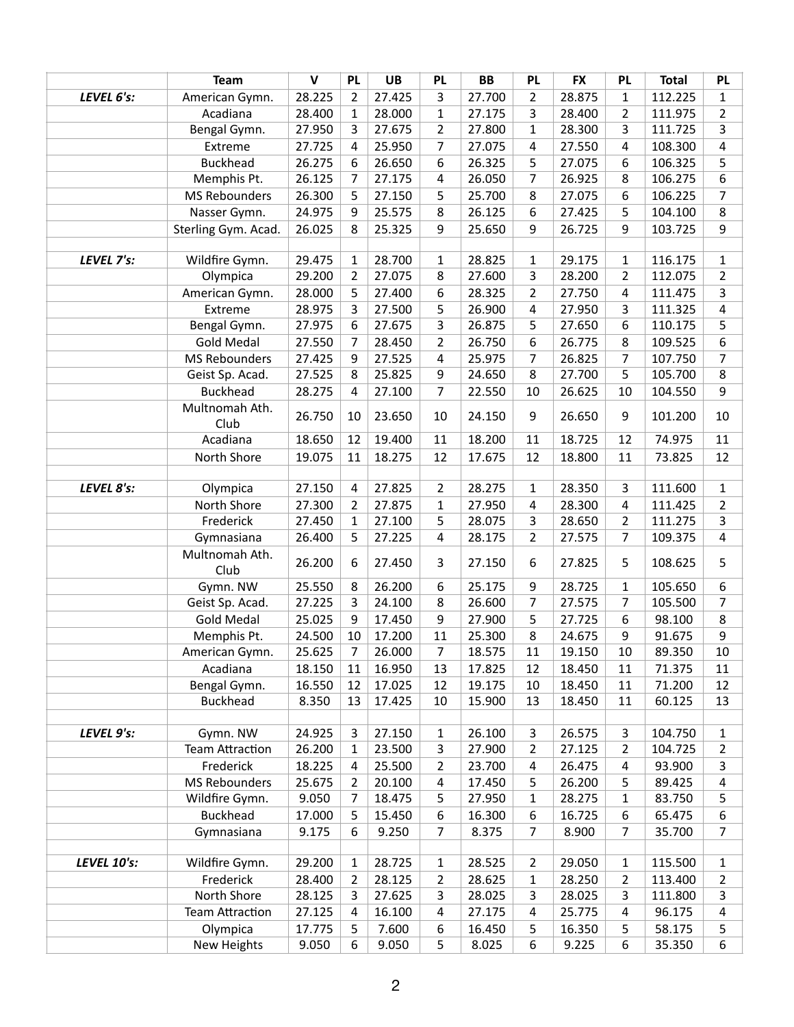|                    | <b>Team</b>            | $\mathbf{V}$ | <b>PL</b>      | <b>UB</b> | <b>PL</b>        | <b>BB</b> | <b>PL</b>      | <b>FX</b> | <b>PL</b>      | <b>Total</b> | <b>PL</b>        |
|--------------------|------------------------|--------------|----------------|-----------|------------------|-----------|----------------|-----------|----------------|--------------|------------------|
| LEVEL 6's:         | American Gymn.         | 28.225       | $\overline{2}$ | 27.425    | 3                | 27.700    | $\overline{2}$ | 28.875    | 1              | 112.225      | $\mathbf{1}$     |
|                    | Acadiana               | 28.400       | 1              | 28.000    | $\mathbf 1$      | 27.175    | 3              | 28.400    | $\overline{2}$ | 111.975      | $\mathbf 2$      |
|                    | Bengal Gymn.           | 27.950       | 3              | 27.675    | $\overline{2}$   | 27.800    | $\mathbf{1}$   | 28.300    | 3              | 111.725      | $\overline{3}$   |
|                    | Extreme                | 27.725       | 4              | 25.950    | $\overline{7}$   | 27.075    | 4              | 27.550    | 4              | 108.300      | $\overline{4}$   |
|                    | <b>Buckhead</b>        | 26.275       | 6              | 26.650    | 6                | 26.325    | 5              | 27.075    | 6              | 106.325      | 5                |
|                    | Memphis Pt.            | 26.125       | 7              | 27.175    | 4                | 26.050    | $\overline{7}$ | 26.925    | 8              | 106.275      | 6                |
|                    | <b>MS Rebounders</b>   | 26.300       | 5              | 27.150    | 5                | 25.700    | 8              | 27.075    | 6              | 106.225      | $\overline{7}$   |
|                    | Nasser Gymn.           | 24.975       | 9              | 25.575    | 8                | 26.125    | 6              | 27.425    | 5              | 104.100      | 8                |
|                    | Sterling Gym. Acad.    | 26.025       | 8              | 25.325    | 9                | 25.650    | 9              | 26.725    | 9              | 103.725      | 9                |
|                    |                        |              |                |           |                  |           |                |           |                |              |                  |
| LEVEL 7's:         | Wildfire Gymn.         | 29.475       | 1              | 28.700    | $\mathbf{1}$     | 28.825    | 1              | 29.175    | 1              | 116.175      | $\mathbf{1}$     |
|                    | Olympica               | 29.200       | 2              | 27.075    | 8                | 27.600    | 3              | 28.200    | $\overline{2}$ | 112.075      | $\overline{2}$   |
|                    | American Gymn.         | 28.000       | 5              | 27.400    | 6                | 28.325    | $\overline{2}$ | 27.750    | $\overline{4}$ | 111.475      | 3                |
|                    | Extreme                | 28.975       | 3              | 27.500    | 5                | 26.900    | 4              | 27.950    | 3              | 111.325      | $\overline{4}$   |
|                    | Bengal Gymn.           | 27.975       | 6              | 27.675    | 3                | 26.875    | 5              | 27.650    | 6              | 110.175      | 5                |
|                    | <b>Gold Medal</b>      | 27.550       | 7              | 28.450    | $\overline{2}$   | 26.750    | 6              | 26.775    | 8              | 109.525      | 6                |
|                    | <b>MS Rebounders</b>   | 27.425       | 9              | 27.525    | 4                | 25.975    | 7              | 26.825    | 7              | 107.750      | $\overline{7}$   |
|                    | Geist Sp. Acad.        | 27.525       | 8              | 25.825    | $\boldsymbol{9}$ | 24.650    | 8              | 27.700    | 5              | 105.700      | 8                |
|                    | <b>Buckhead</b>        | 28.275       | 4              | 27.100    | $\overline{7}$   | 22.550    | 10             | 26.625    | 10             | 104.550      | 9                |
|                    | Multnomah Ath.<br>Club | 26.750       | 10             | 23.650    | 10               | 24.150    | 9              | 26.650    | 9              | 101.200      | 10               |
|                    | Acadiana               | 18.650       | 12             | 19.400    | 11               | 18.200    | 11             | 18.725    | 12             | 74.975       | 11               |
|                    | North Shore            | 19.075       | 11             | 18.275    | 12               | 17.675    | 12             | 18.800    | 11             | 73.825       | 12               |
|                    |                        |              |                |           |                  |           |                |           |                |              |                  |
| LEVEL 8's:         | Olympica               | 27.150       | 4              | 27.825    | $\overline{2}$   | 28.275    | $\mathbf{1}$   | 28.350    | 3              | 111.600      | $\mathbf 1$      |
|                    | North Shore            | 27.300       | 2              | 27.875    | $\mathbf{1}$     | 27.950    | 4              | 28.300    | 4              | 111.425      | $\overline{2}$   |
|                    | Frederick              | 27.450       | 1              | 27.100    | 5                | 28.075    | 3              | 28.650    | $\overline{2}$ | 111.275      | 3                |
|                    | Gymnasiana             | 26.400       | 5              | 27.225    | 4                | 28.175    | $\overline{2}$ | 27.575    | $\overline{7}$ | 109.375      | $\overline{4}$   |
|                    | Multnomah Ath.<br>Club | 26.200       | 6              | 27.450    | 3                | 27.150    | 6              | 27.825    | 5              | 108.625      | 5                |
|                    | Gymn. NW               | 25.550       | 8              | 26.200    | 6                | 25.175    | 9              | 28.725    | 1              | 105.650      | 6                |
|                    | Geist Sp. Acad.        | 27.225       | 3              | 24.100    | 8                | 26.600    | $\overline{7}$ | 27.575    | 7              | 105.500      | $\overline{7}$   |
|                    | <b>Gold Medal</b>      | 25.025       | 9              | 17.450    | 9                | 27.900    | 5              | 27.725    | 6              | 98.100       | 8                |
|                    | Memphis Pt.            | 24.500       | 10             | 17.200    | 11               | 25.300    | 8              | 24.675    | 9              | 91.675       | 9                |
|                    | American Gymn.         | 25.625       | 7              | 26.000    | 7                | 18.575    | 11             | 19.150    | 10             | 89.350       | 10               |
|                    | Acadiana               | 18.150       | 11             | 16.950    | 13               | 17.825    | 12             | 18.450    | 11             | 71.375       | 11               |
|                    | Bengal Gymn.           | 16.550       | 12             | 17.025    | 12               | 19.175    | 10             | 18.450    | 11             | 71.200       | 12               |
|                    | <b>Buckhead</b>        | 8.350        | 13             | 17.425    | 10               | 15.900    | 13             | 18.450    | 11             | 60.125       | 13               |
|                    |                        |              |                |           |                  |           |                |           |                |              |                  |
| LEVEL 9's:         | Gymn. NW               | 24.925       | 3              | 27.150    | $\mathbf{1}$     | 26.100    | 3              | 26.575    | 3              | 104.750      | $\mathbf{1}$     |
|                    | <b>Team Attraction</b> | 26.200       | 1              | 23.500    | 3                | 27.900    | 2              | 27.125    | 2              | 104.725      | $\overline{2}$   |
|                    | Frederick              | 18.225       | 4              | 25.500    | 2                | 23.700    | 4              | 26.475    | 4              | 93.900       | 3                |
|                    | <b>MS Rebounders</b>   | 25.675       | 2              | 20.100    | 4                | 17.450    | 5              | 26.200    | 5              | 89.425       | 4                |
|                    | Wildfire Gymn.         | 9.050        | 7              | 18.475    | 5                | 27.950    | 1              | 28.275    | 1              | 83.750       | 5                |
|                    | <b>Buckhead</b>        | 17.000       | 5.             | 15.450    | 6                | 16.300    | 6              | 16.725    | 6              | 65.475       | 6                |
|                    | Gymnasiana             | 9.175        | 6              | 9.250     | 7                | 8.375     | $\overline{7}$ | 8.900     | $\overline{7}$ | 35.700       | $\overline{7}$   |
| <b>LEVEL 10's:</b> | Wildfire Gymn.         | 29.200       | 1              | 28.725    | $\mathbf{1}$     | 28.525    | $\overline{2}$ | 29.050    | 1              | 115.500      | 1                |
|                    | Frederick              | 28.400       | 2              | 28.125    | $\overline{2}$   | 28.625    | 1              | 28.250    | 2              | 113.400      | 2                |
|                    | North Shore            | 28.125       | 3              | 27.625    | 3                | 28.025    | 3              | 28.025    | 3              | 111.800      | 3                |
|                    | <b>Team Attraction</b> | 27.125       | 4              | 16.100    | 4                | 27.175    | 4              | 25.775    | 4              | 96.175       | 4                |
|                    | Olympica               | 17.775       | 5              | 7.600     | 6                | 16.450    | 5              | 16.350    | 5              | 58.175       | 5                |
|                    | New Heights            | 9.050        | 6              | 9.050     | 5                | 8.025     | 6              | 9.225     | 6              | 35.350       | $\boldsymbol{6}$ |
|                    |                        |              |                |           |                  |           |                |           |                |              |                  |